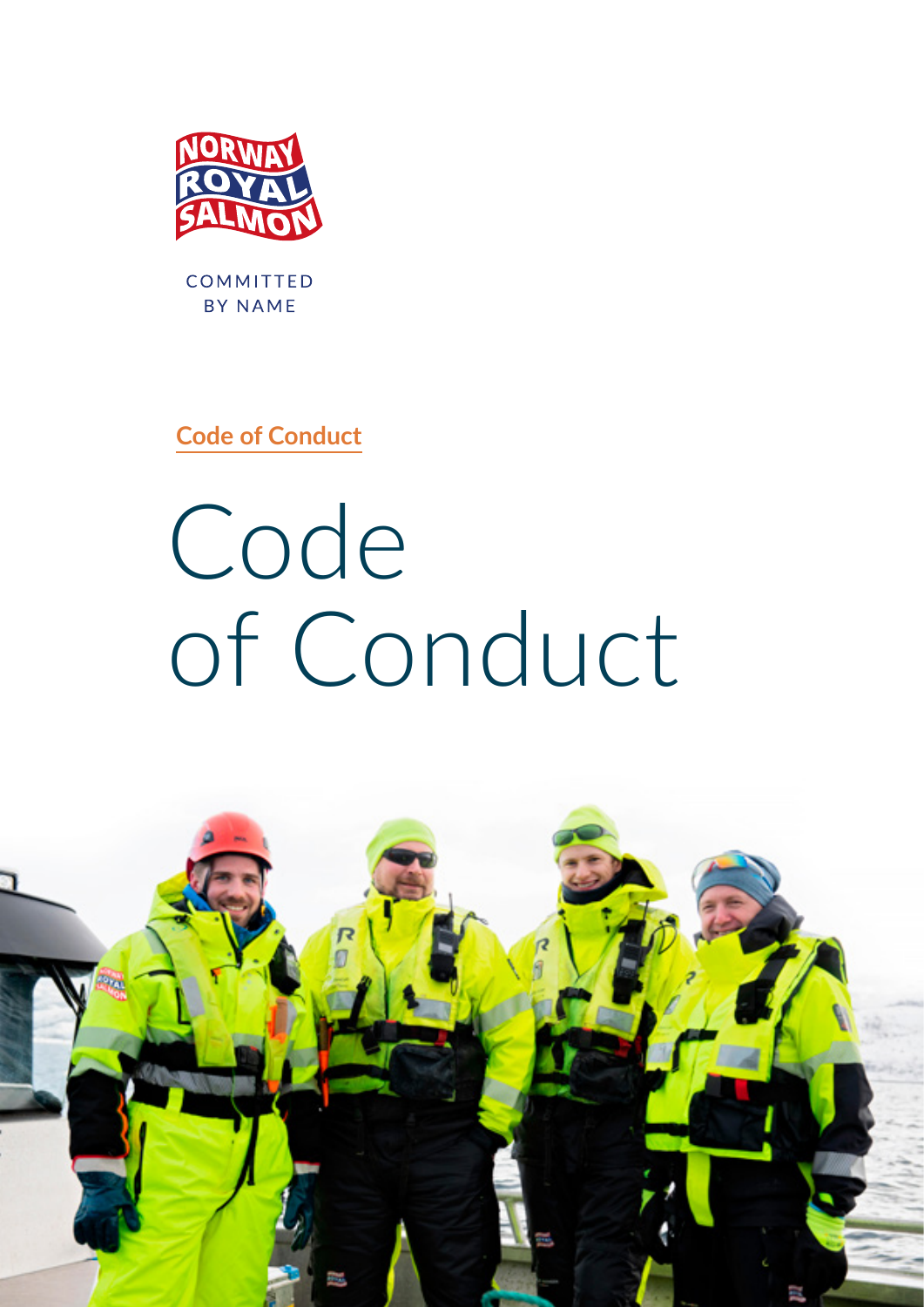

COMMITTED BY NAME

**Code of Conduct**

Code of Conduct

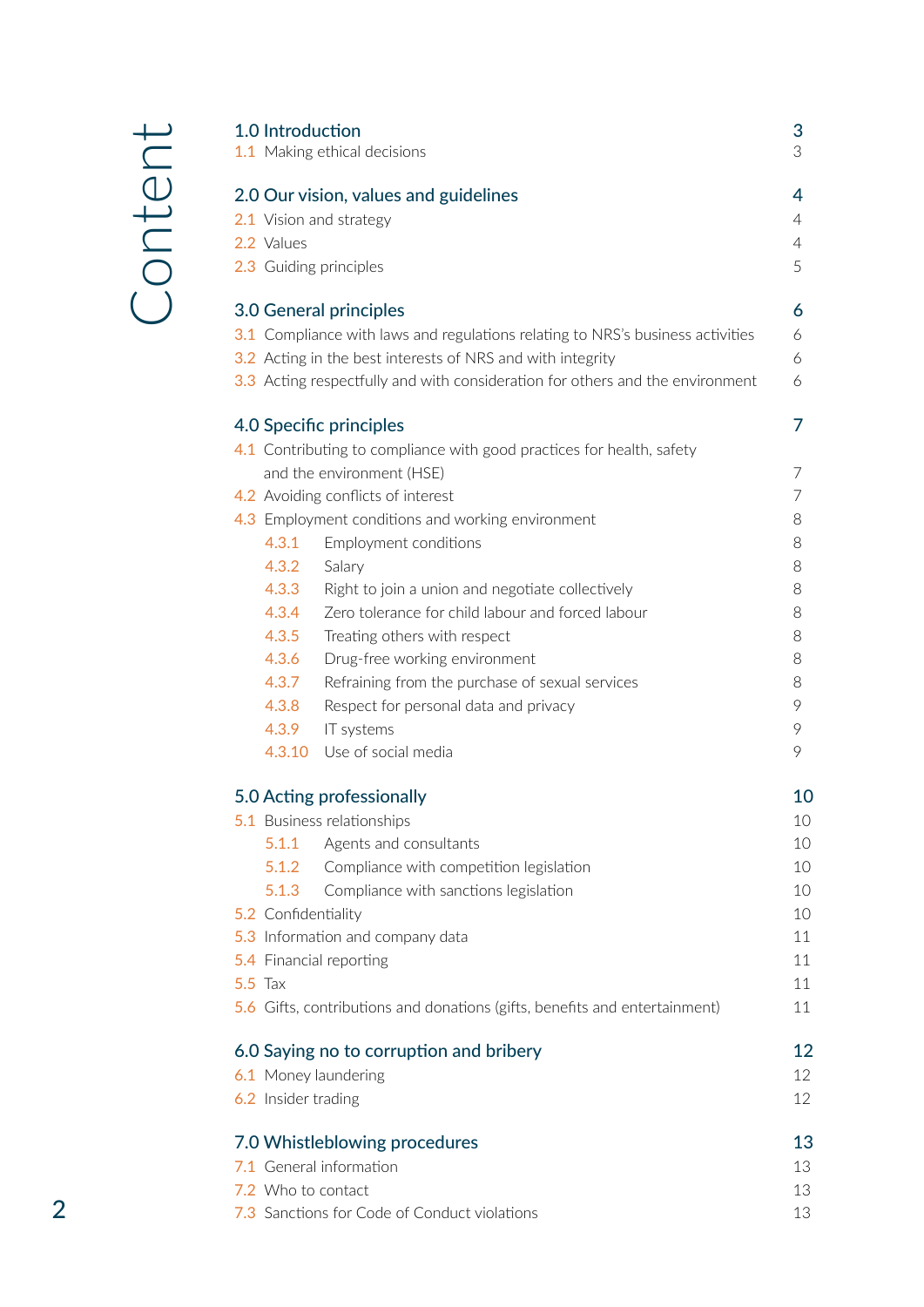| 1.0 Introduction<br>1.1 Making ethical decisions |                                              |                                                                                | 3<br>3   |
|--------------------------------------------------|----------------------------------------------|--------------------------------------------------------------------------------|----------|
|                                                  |                                              | 2.0 Our vision, values and guidelines                                          | 4        |
|                                                  | 2.1 Vision and strategy                      |                                                                                |          |
|                                                  | 2.2 Values                                   |                                                                                |          |
|                                                  |                                              | 2.3 Guiding principles                                                         | 5        |
|                                                  |                                              | 3.0 General principles                                                         | 6        |
|                                                  |                                              | 3.1 Compliance with laws and regulations relating to NRS's business activities | 6        |
|                                                  |                                              | 3.2 Acting in the best interests of NRS and with integrity                     | 6        |
|                                                  |                                              | 3.3 Acting respectfully and with consideration for others and the environment  | 6        |
|                                                  |                                              | 4.0 Specific principles                                                        | 7        |
|                                                  |                                              | 4.1 Contributing to compliance with good practices for health, safety          |          |
|                                                  |                                              | and the environment (HSE)                                                      | 7        |
|                                                  |                                              | 4.2 Avoiding conflicts of interest                                             | 7        |
|                                                  |                                              | 4.3 Employment conditions and working environment                              | 8        |
|                                                  | 4.3.1                                        | Employment conditions                                                          | 8        |
|                                                  | 4.3.2                                        | Salary                                                                         | 8        |
|                                                  | 4.3.3                                        | Right to join a union and negotiate collectively                               | 8        |
|                                                  | 4.3.4                                        | Zero tolerance for child labour and forced labour                              | 8        |
|                                                  | 4.3.5                                        | Treating others with respect                                                   | 8        |
|                                                  | 4.3.6                                        | Drug-free working environment                                                  | 8        |
|                                                  | 4.3.7                                        | Refraining from the purchase of sexual services                                | 8        |
|                                                  | 4.3.8                                        | Respect for personal data and privacy                                          | 9        |
|                                                  | 4.3.9                                        | IT systems                                                                     | 9        |
|                                                  | 4.3.10                                       | Use of social media                                                            | 9        |
| 5.0 Acting professionally                        |                                              |                                                                                | 10       |
|                                                  |                                              | 5.1 Business relationships                                                     | 10       |
|                                                  | 5.1.1                                        | Agents and consultants                                                         | 10       |
|                                                  | 5.1.2                                        | Compliance with competition legislation                                        | 10       |
|                                                  | 5.1.3                                        | Compliance with sanctions legislation                                          | 10       |
|                                                  | 5.2 Confidentiality                          |                                                                                | 10       |
|                                                  | 5.3 Information and company data             |                                                                                | 11       |
|                                                  | 5.4 Financial reporting<br><b>5.5 Tax</b>    |                                                                                | 11       |
|                                                  |                                              |                                                                                | 11       |
|                                                  |                                              | 5.6 Gifts, contributions and donations (gifts, benefits and entertainment)     | 11       |
| 6.0 Saying no to corruption and bribery          |                                              |                                                                                | 12       |
| 6.1 Money laundering<br>6.2 Insider trading      |                                              |                                                                                | 12       |
|                                                  |                                              |                                                                                | 12       |
|                                                  |                                              | 7.0 Whistleblowing procedures                                                  | 13<br>13 |
|                                                  | 7.1 General information                      |                                                                                |          |
| 7.2 Who to contact                               |                                              |                                                                                | 13<br>13 |
|                                                  | 7.3 Sanctions for Code of Conduct violations |                                                                                |          |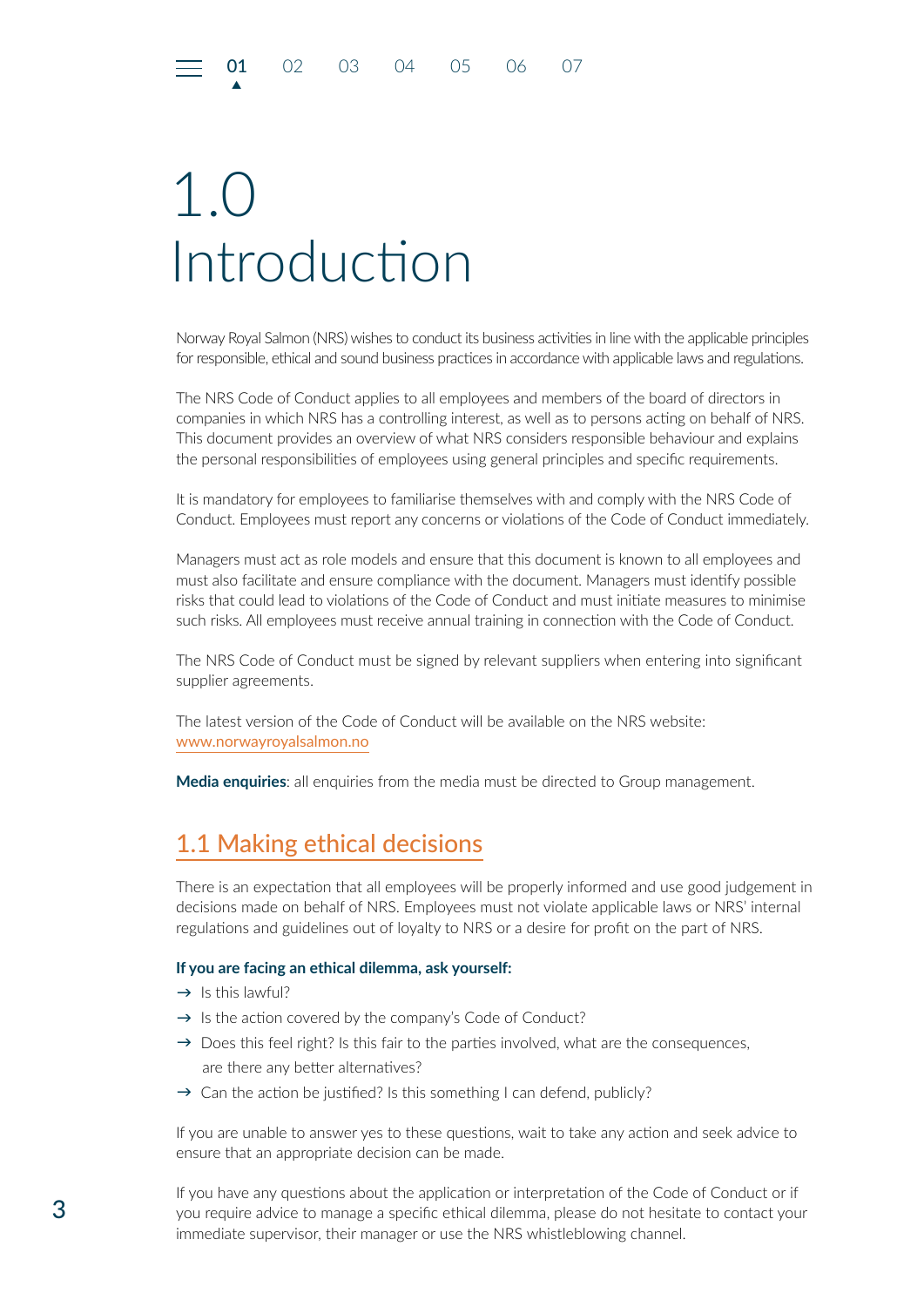## <span id="page-2-0"></span>1.0 Introduction

▲

Norway Royal Salmon (NRS) wishes to conduct its business activities in line with the applicable principles for responsible, ethical and sound business practices in accordance with applicable laws and regulations.

The NRS Code of Conduct applies to all employees and members of the board of directors in companies in which NRS has a controlling interest, as well as to persons acting on behalf of NRS. This document provides an overview of what NRS considers responsible behaviour and explains the personal responsibilities of employees using general principles and specific requirements.

It is mandatory for employees to familiarise themselves with and comply with the NRS Code of Conduct. Employees must report any concerns or violations of the Code of Conduct immediately.

Managers must act as role models and ensure that this document is known to all employees and must also facilitate and ensure compliance with the document. Managers must identify possible risks that could lead to violations of the Code of Conduct and must initiate measures to minimise such risks. All employees must receive annual training in connection with the Code of Conduct.

The NRS Code of Conduct must be signed by relevant suppliers when entering into significant supplier agreements.

The latest version of the Code of Conduct will be available on the NRS website: [www.norwayroyalsalmon.no](https://www.norwayroyalsalmon.com/no)

**Media enquiries**: all enquiries from the media must be directed to Group management.

### 1.1 Making ethical decisions

There is an expectation that all employees will be properly informed and use good judgement in decisions made on behalf of NRS. Employees must not violate applicable laws or NRS' internal regulations and guidelines out of loyalty to NRS or a desire for profit on the part of NRS.

#### **If you are facing an ethical dilemma, ask yourself:**

- $\rightarrow$  Is this lawful?
- $\rightarrow$  Is the action covered by the company's Code of Conduct?
- $\rightarrow$  Does this feel right? Is this fair to the parties involved, what are the consequences, are there any better alternatives?
- $\rightarrow$  Can the action be justified? Is this something I can defend, publicly?

If you are unable to answer yes to these questions, wait to take any action and seek advice to ensure that an appropriate decision can be made.

If you have any questions about the application or interpretation of the Code of Conduct or if you require advice to manage a specific ethical dilemma, please do not hesitate to contact your immediate supervisor, their manager or use the NRS whistleblowing channel.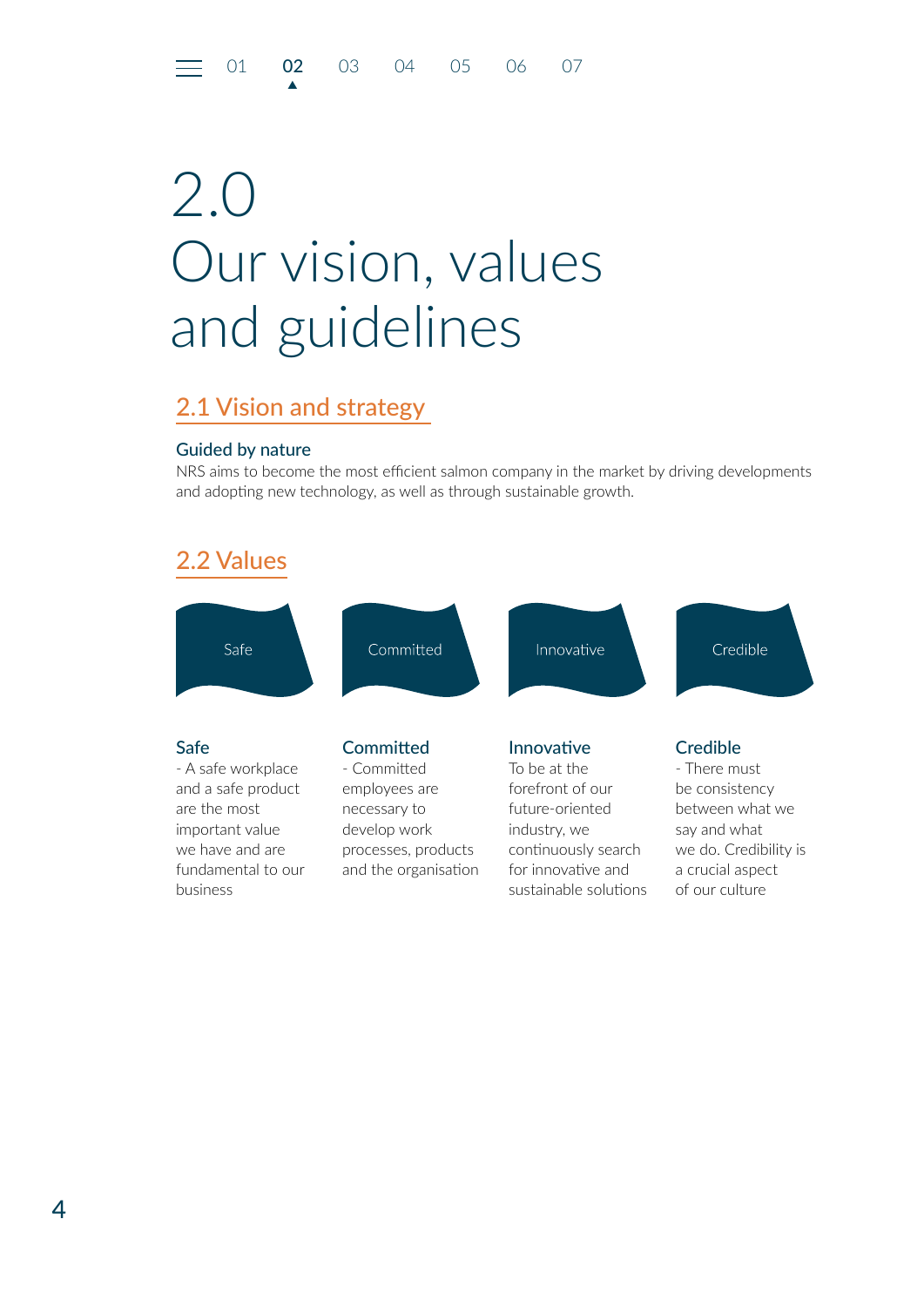## <span id="page-3-0"></span>2.0 Our vision, values and guidelines

### 2.1 Vision and strategy

▲

#### Guided by nature

NRS aims to become the most efficient salmon company in the market by driving developments and adopting new technology, as well as through sustainable growth.

### 2.2 Values

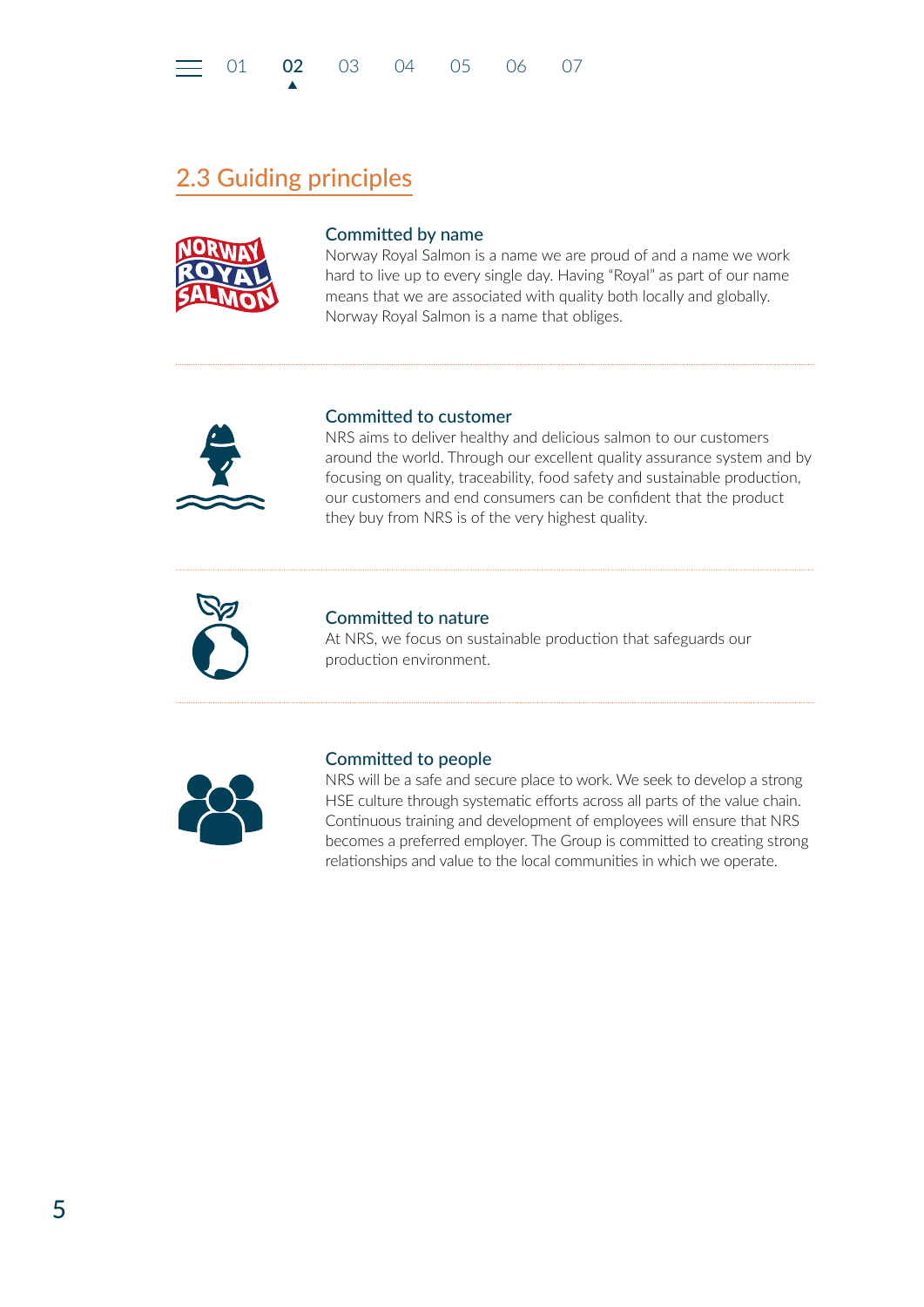<span id="page-4-0"></span>

## 2.3 Guiding principles

▲



#### Committed by name

Norway Royal Salmon is a name we are proud of and a name we work hard to live up to every single day. Having "Royal" as part of our name means that we are associated with quality both locally and globally. Norway Royal Salmon is a name that obliges.



#### Committed to customer

NRS aims to deliver healthy and delicious salmon to our customers around the world. Through our excellent quality assurance system and by focusing on quality, traceability, food safety and sustainable production, our customers and end consumers can be confident that the product they buy from NRS is of the very highest quality.



#### Committed to nature

At NRS, we focus on sustainable production that safeguards our production environment.



#### Committed to people

NRS will be a safe and secure place to work. We seek to develop a strong HSE culture through systematic efforts across all parts of the value chain. Continuous training and development of employees will ensure that NRS becomes a preferred employer. The Group is committed to creating strong relationships and value to the local communities in which we operate.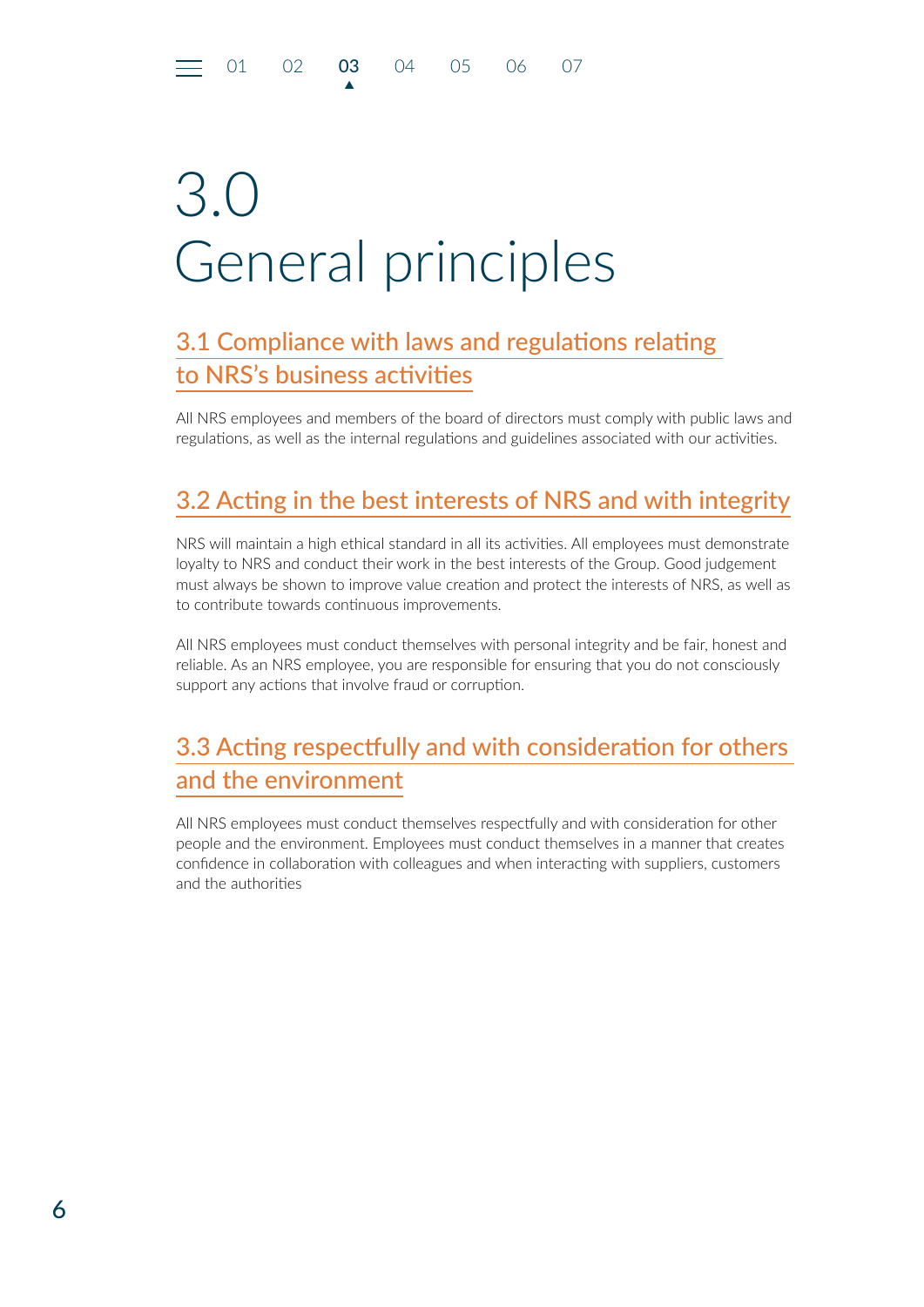▲

## <span id="page-5-0"></span>3.0 General principles

## 3.1 Compliance with laws and regulations relating to NRS's business activities

All NRS employees and members of the board of directors must comply with public laws and regulations, as well as the internal regulations and guidelines associated with our activities.

## 3.2 Acting in the best interests of NRS and with integrity

NRS will maintain a high ethical standard in all its activities. All employees must demonstrate loyalty to NRS and conduct their work in the best interests of the Group. Good judgement must always be shown to improve value creation and protect the interests of NRS, as well as to contribute towards continuous improvements.

All NRS employees must conduct themselves with personal integrity and be fair, honest and reliable. As an NRS employee, you are responsible for ensuring that you do not consciously support any actions that involve fraud or corruption.

## 3.3 Acting respectfully and with consideration for others and the environment

All NRS employees must conduct themselves respectfully and with consideration for other people and the environment. Employees must conduct themselves in a manner that creates confidence in collaboration with colleagues and when interacting with suppliers, customers and the authorities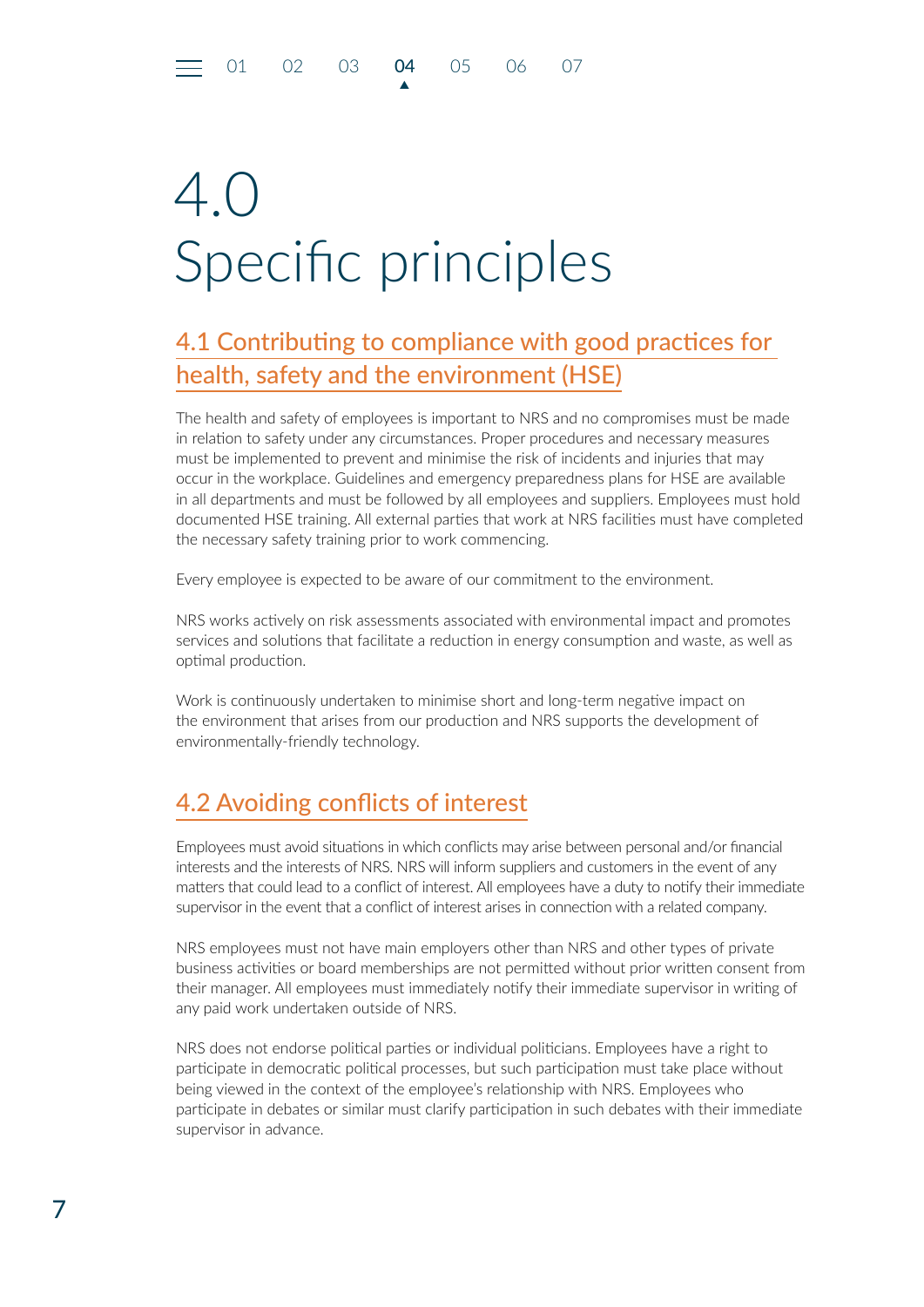▲

## <span id="page-6-0"></span>4.0 Specific principles

## 4.1 Contributing to compliance with good practices for health, safety and the environment (HSE)

The health and safety of employees is important to NRS and no compromises must be made in relation to safety under any circumstances. Proper procedures and necessary measures must be implemented to prevent and minimise the risk of incidents and injuries that may occur in the workplace. Guidelines and emergency preparedness plans for HSE are available in all departments and must be followed by all employees and suppliers. Employees must hold documented HSE training. All external parties that work at NRS facilities must have completed the necessary safety training prior to work commencing.

Every employee is expected to be aware of our commitment to the environment.

NRS works actively on risk assessments associated with environmental impact and promotes services and solutions that facilitate a reduction in energy consumption and waste, as well as optimal production.

Work is continuously undertaken to minimise short and long-term negative impact on the environment that arises from our production and NRS supports the development of environmentally-friendly technology.

## 4.2 Avoiding conflicts of interest

Employees must avoid situations in which conflicts may arise between personal and/or financial interests and the interests of NRS. NRS will inform suppliers and customers in the event of any matters that could lead to a conflict of interest. All employees have a duty to notify their immediate supervisor in the event that a conflict of interest arises in connection with a related company.

NRS employees must not have main employers other than NRS and other types of private business activities or board memberships are not permitted without prior written consent from their manager. All employees must immediately notify their immediate supervisor in writing of any paid work undertaken outside of NRS.

NRS does not endorse political parties or individual politicians. Employees have a right to participate in democratic political processes, but such participation must take place without being viewed in the context of the employee's relationship with NRS. Employees who participate in debates or similar must clarify participation in such debates with their immediate supervisor in advance.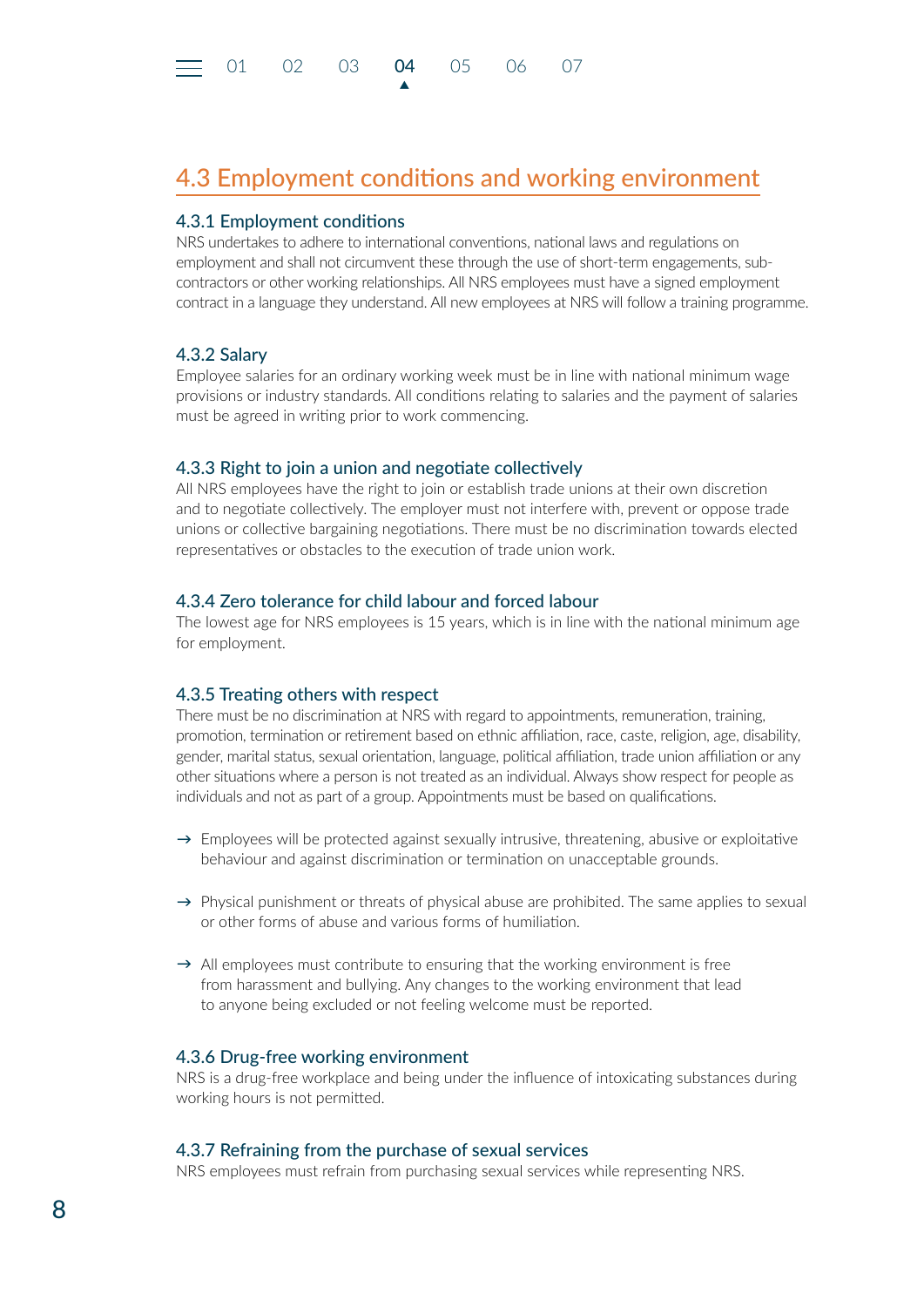▲

### <span id="page-7-0"></span>4.3 Employment conditions and working environment

#### 4.3.1 Employment conditions

NRS undertakes to adhere to international conventions, national laws and regulations on employment and shall not circumvent these through the use of short-term engagements, subcontractors or other working relationships. All NRS employees must have a signed employment contract in a language they understand. All new employees at NRS will follow a training programme.

#### 4.3.2 Salary

Employee salaries for an ordinary working week must be in line with national minimum wage provisions or industry standards. All conditions relating to salaries and the payment of salaries must be agreed in writing prior to work commencing.

#### 4.3.3 Right to join a union and negotiate collectively

All NRS employees have the right to join or establish trade unions at their own discretion and to negotiate collectively. The employer must not interfere with, prevent or oppose trade unions or collective bargaining negotiations. There must be no discrimination towards elected representatives or obstacles to the execution of trade union work.

#### 4.3.4 Zero tolerance for child labour and forced labour

The lowest age for NRS employees is 15 years, which is in line with the national minimum age for employment.

#### 4.3.5 Treating others with respect

There must be no discrimination at NRS with regard to appointments, remuneration, training, promotion, termination or retirement based on ethnic affiliation, race, caste, religion, age, disability, gender, marital status, sexual orientation, language, political affiliation, trade union affiliation or any other situations where a person is not treated as an individual. Always show respect for people as individuals and not as part of a group. Appointments must be based on qualifications.

- $\rightarrow$  Employees will be protected against sexually intrusive, threatening, abusive or exploitative behaviour and against discrimination or termination on unacceptable grounds.
- $\rightarrow$  Physical punishment or threats of physical abuse are prohibited. The same applies to sexual or other forms of abuse and various forms of humiliation.
- $\rightarrow$  All employees must contribute to ensuring that the working environment is free from harassment and bullying. Any changes to the working environment that lead to anyone being excluded or not feeling welcome must be reported.

#### 4.3.6 Drug-free working environment

NRS is a drug-free workplace and being under the influence of intoxicating substances during working hours is not permitted.

#### 4.3.7 Refraining from the purchase of sexual services

NRS employees must refrain from purchasing sexual services while representing NRS.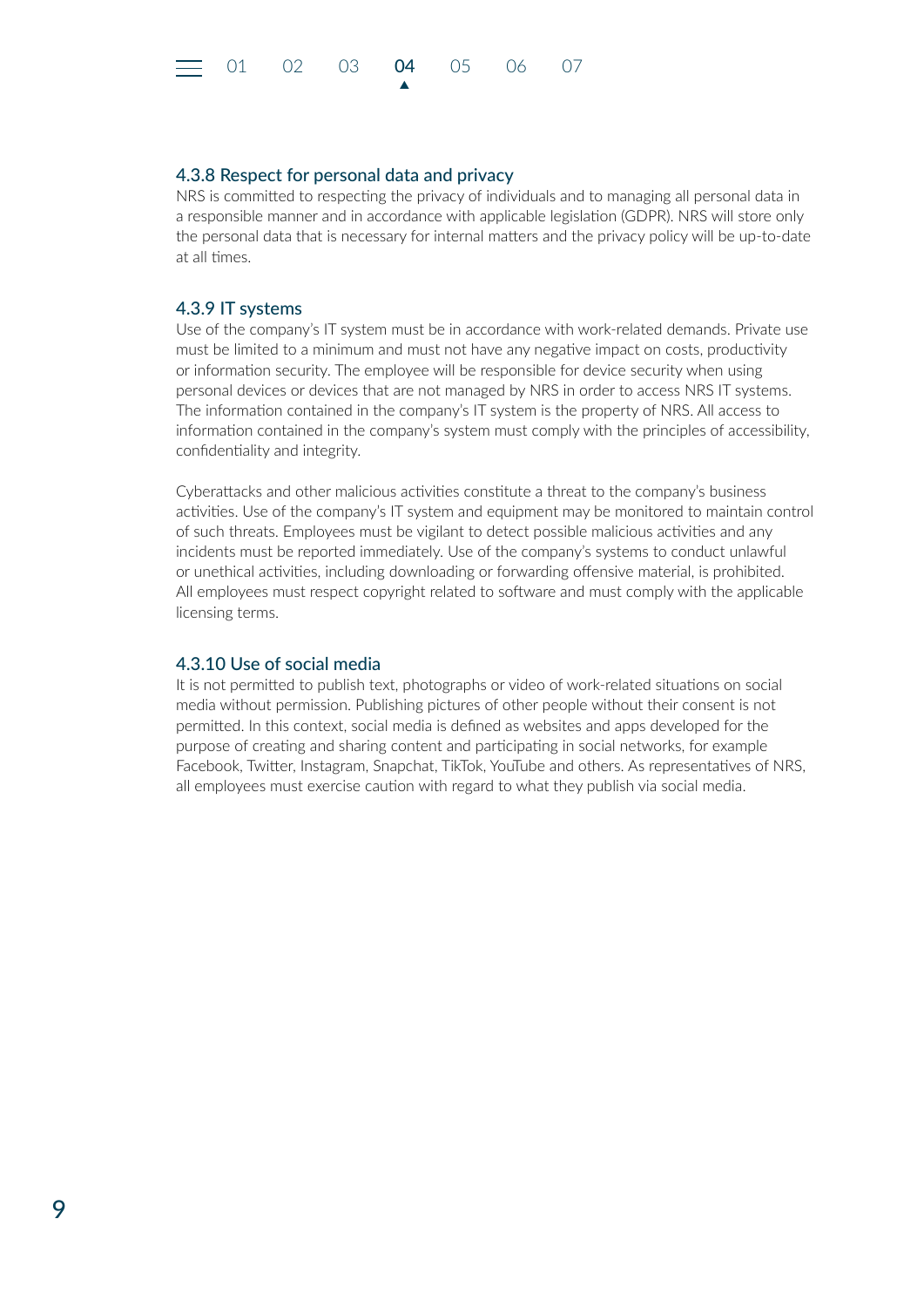<span id="page-8-0"></span>

#### 4.3.8 Respect for personal data and privacy

NRS is committed to respecting the privacy of individuals and to managing all personal data in a responsible manner and in accordance with applicable legislation (GDPR). NRS will store only the personal data that is necessary for internal matters and the privacy policy will be up-to-date at all times.

#### 4.3.9 IT systems

Use of the company's IT system must be in accordance with work-related demands. Private use must be limited to a minimum and must not have any negative impact on costs, productivity or information security. The employee will be responsible for device security when using personal devices or devices that are not managed by NRS in order to access NRS IT systems. The information contained in the company's IT system is the property of NRS. All access to information contained in the company's system must comply with the principles of accessibility, confidentiality and integrity.

Cyberattacks and other malicious activities constitute a threat to the company's business activities. Use of the company's IT system and equipment may be monitored to maintain control of such threats. Employees must be vigilant to detect possible malicious activities and any incidents must be reported immediately. Use of the company's systems to conduct unlawful or unethical activities, including downloading or forwarding offensive material, is prohibited. All employees must respect copyright related to software and must comply with the applicable licensing terms.

#### 4.3.10 Use of social media

It is not permitted to publish text, photographs or video of work-related situations on social media without permission. Publishing pictures of other people without their consent is not permitted. In this context, social media is defined as websites and apps developed for the purpose of creating and sharing content and participating in social networks, for example Facebook, Twitter, Instagram, Snapchat, TikTok, YouTube and others. As representatives of NRS, all employees must exercise caution with regard to what they publish via social media.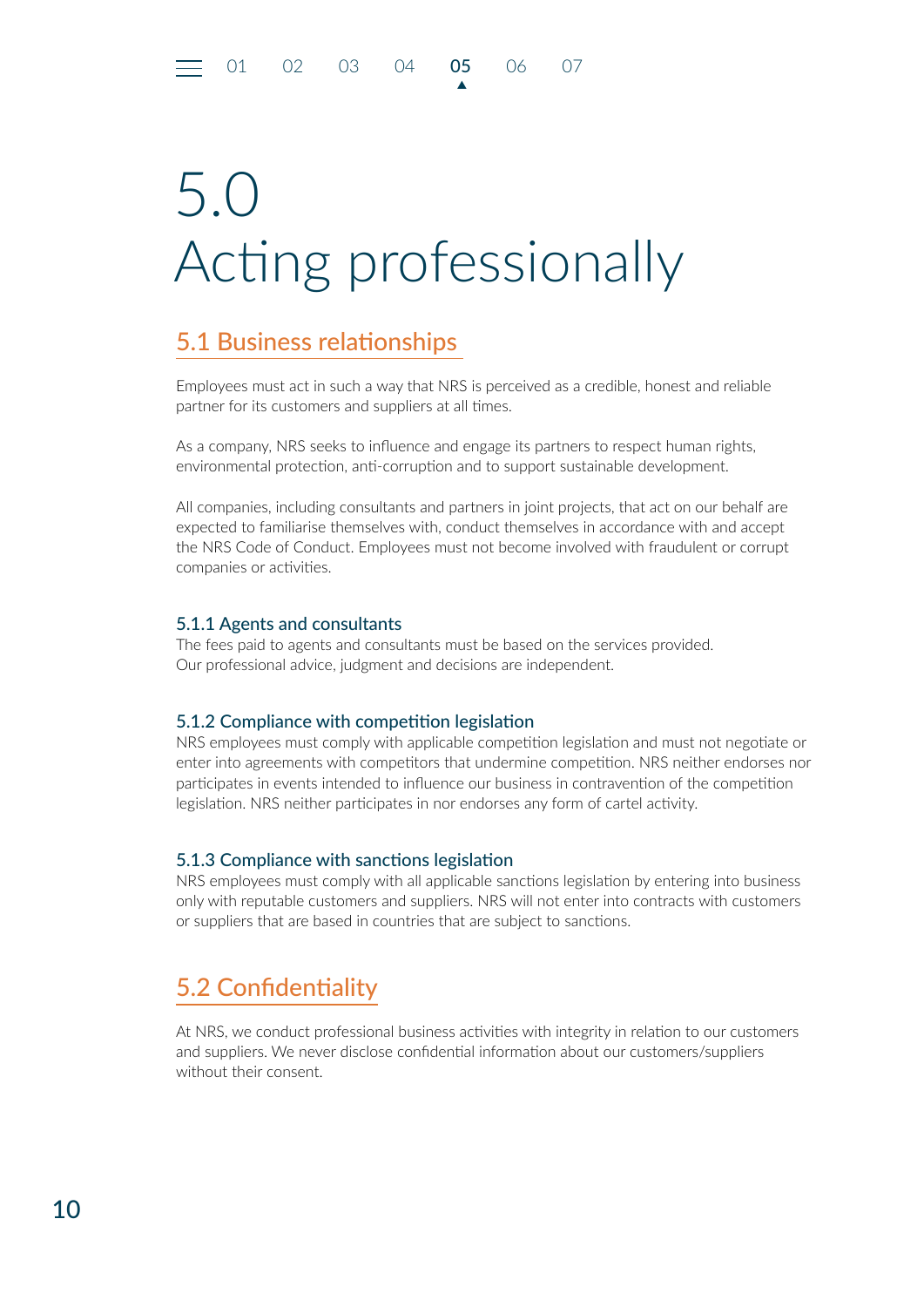<span id="page-9-0"></span>[01](#page-2-0) [02](#page-3-0) [03](#page-5-0) [04](#page-6-0) 05 [06](#page-11-0) [07](#page-12-0)

# 5.0 Acting professionally

▲

## 5.1 Business relationships

Employees must act in such a way that NRS is perceived as a credible, honest and reliable partner for its customers and suppliers at all times.

As a company, NRS seeks to influence and engage its partners to respect human rights, environmental protection, anti-corruption and to support sustainable development.

All companies, including consultants and partners in joint projects, that act on our behalf are expected to familiarise themselves with, conduct themselves in accordance with and accept the NRS Code of Conduct. Employees must not become involved with fraudulent or corrupt companies or activities.

#### 5.1.1 Agents and consultants

The fees paid to agents and consultants must be based on the services provided. Our professional advice, judgment and decisions are independent.

#### 5.1.2 Compliance with competition legislation

NRS employees must comply with applicable competition legislation and must not negotiate or enter into agreements with competitors that undermine competition. NRS neither endorses nor participates in events intended to influence our business in contravention of the competition legislation. NRS neither participates in nor endorses any form of cartel activity.

#### 5.1.3 Compliance with sanctions legislation

NRS employees must comply with all applicable sanctions legislation by entering into business only with reputable customers and suppliers. NRS will not enter into contracts with customers or suppliers that are based in countries that are subject to sanctions.

## 5.2 Confidentiality

At NRS, we conduct professional business activities with integrity in relation to our customers and suppliers. We never disclose confidential information about our customers/suppliers without their consent.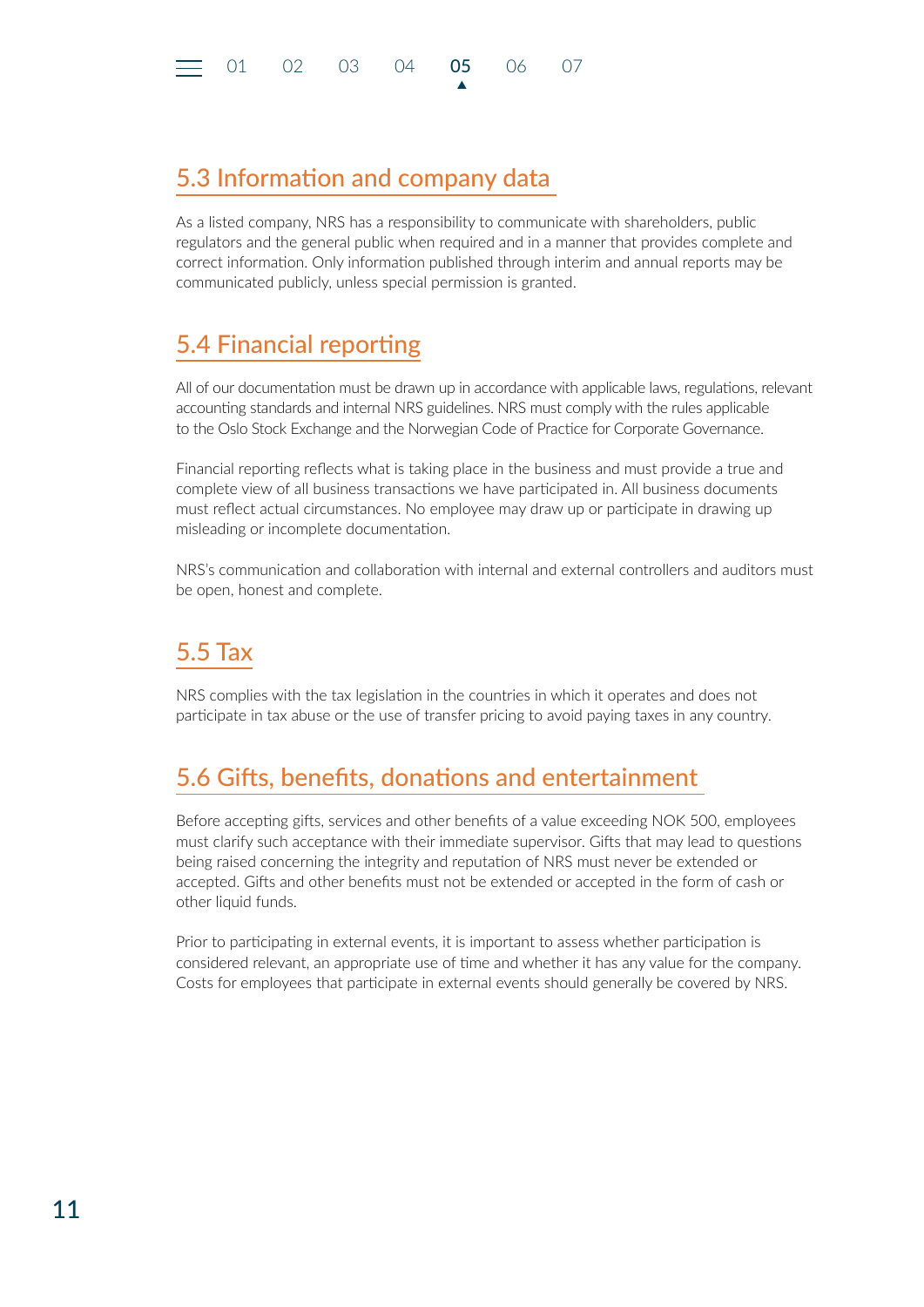## <span id="page-10-0"></span>5.3 Information and company data

As a listed company, NRS has a responsibility to communicate with shareholders, public regulators and the general public when required and in a manner that provides complete and correct information. Only information published through interim and annual reports may be communicated publicly, unless special permission is granted.

▲

## 5.4 Financial reporting

All of our documentation must be drawn up in accordance with applicable laws, regulations, relevant accounting standards and internal NRS guidelines. NRS must comply with the rules applicable to the Oslo Stock Exchange and the Norwegian Code of Practice for Corporate Governance.

Financial reporting reflects what is taking place in the business and must provide a true and complete view of all business transactions we have participated in. All business documents must reflect actual circumstances. No employee may draw up or participate in drawing up misleading or incomplete documentation.

NRS's communication and collaboration with internal and external controllers and auditors must be open, honest and complete.

## 5.5 Tax

NRS complies with the tax legislation in the countries in which it operates and does not participate in tax abuse or the use of transfer pricing to avoid paying taxes in any country.

## 5.6 Gifts, benefits, donations and entertainment

Before accepting gifts, services and other benefits of a value exceeding NOK 500, employees must clarify such acceptance with their immediate supervisor. Gifts that may lead to questions being raised concerning the integrity and reputation of NRS must never be extended or accepted. Gifts and other benefits must not be extended or accepted in the form of cash or other liquid funds.

Prior to participating in external events, it is important to assess whether participation is considered relevant, an appropriate use of time and whether it has any value for the company. Costs for employees that participate in external events should generally be covered by NRS.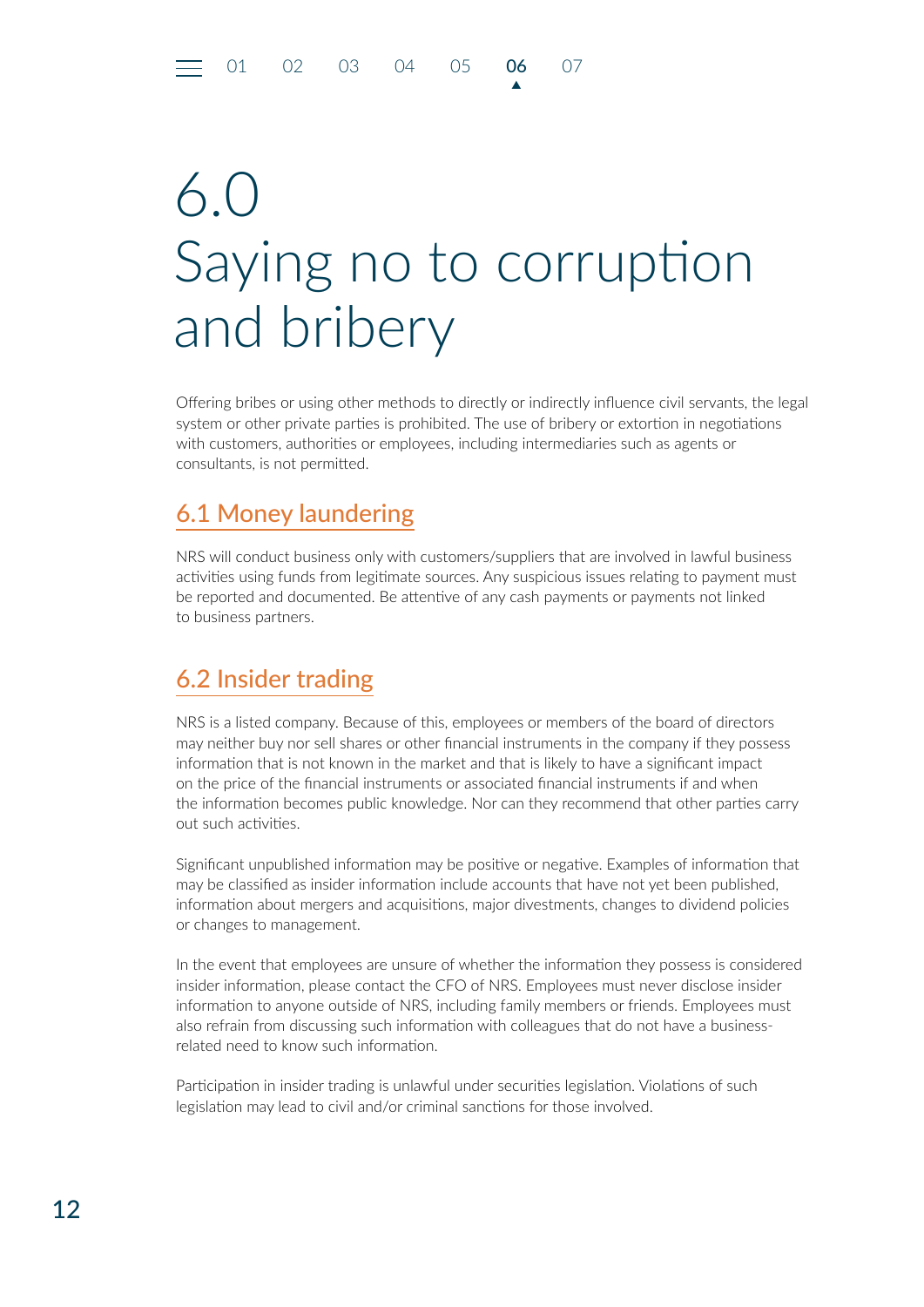## <span id="page-11-0"></span>6.0 Saying no to corruption and bribery

▲

Offering bribes or using other methods to directly or indirectly influence civil servants, the legal system or other private parties is prohibited. The use of bribery or extortion in negotiations with customers, authorities or employees, including intermediaries such as agents or consultants, is not permitted.

## 6.1 Money laundering

NRS will conduct business only with customers/suppliers that are involved in lawful business activities using funds from legitimate sources. Any suspicious issues relating to payment must be reported and documented. Be attentive of any cash payments or payments not linked to business partners.

## 6.2 Insider trading

NRS is a listed company. Because of this, employees or members of the board of directors may neither buy nor sell shares or other financial instruments in the company if they possess information that is not known in the market and that is likely to have a significant impact on the price of the financial instruments or associated financial instruments if and when the information becomes public knowledge. Nor can they recommend that other parties carry out such activities.

Significant unpublished information may be positive or negative. Examples of information that may be classified as insider information include accounts that have not yet been published, information about mergers and acquisitions, major divestments, changes to dividend policies or changes to management.

In the event that employees are unsure of whether the information they possess is considered insider information, please contact the CFO of NRS. Employees must never disclose insider information to anyone outside of NRS, including family members or friends. Employees must also refrain from discussing such information with colleagues that do not have a businessrelated need to know such information.

Participation in insider trading is unlawful under securities legislation. Violations of such legislation may lead to civil and/or criminal sanctions for those involved.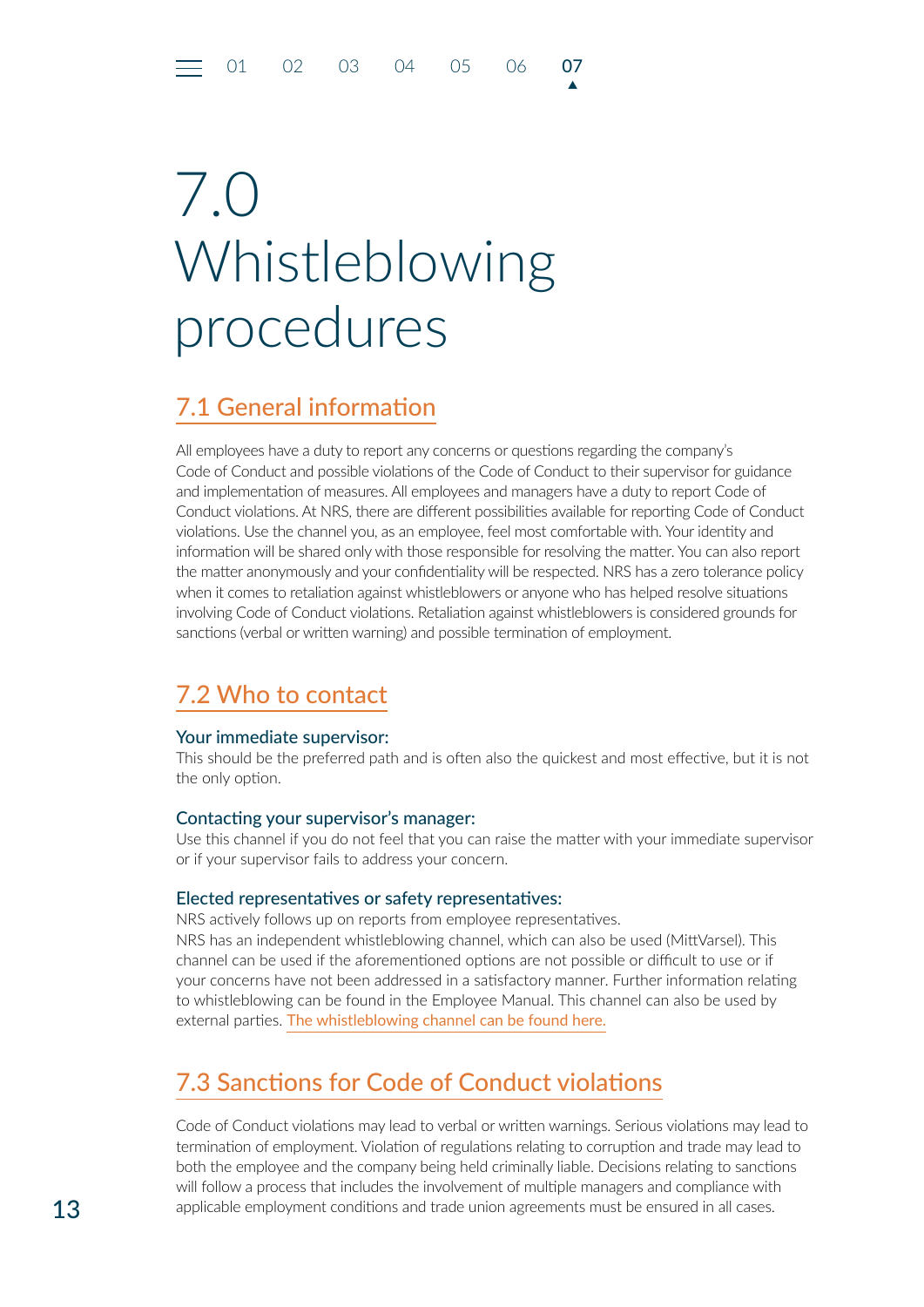## <span id="page-12-0"></span>7.0 Whistleblowing procedures

## 7.1 General information

All employees have a duty to report any concerns or questions regarding the company's Code of Conduct and possible violations of the Code of Conduct to their supervisor for guidance and implementation of measures. All employees and managers have a duty to report Code of Conduct violations. At NRS, there are different possibilities available for reporting Code of Conduct violations. Use the channel you, as an employee, feel most comfortable with. Your identity and information will be shared only with those responsible for resolving the matter. You can also report the matter anonymously and your confidentiality will be respected. NRS has a zero tolerance policy when it comes to retaliation against whistleblowers or anyone who has helped resolve situations involving Code of Conduct violations. Retaliation against whistleblowers is considered grounds for sanctions (verbal or written warning) and possible termination of employment.

▲

## 7.2 Who to contact

#### Your immediate supervisor:

This should be the preferred path and is often also the quickest and most effective, but it is not the only option.

#### Contacting your supervisor's manager:

Use this channel if you do not feel that you can raise the matter with your immediate supervisor or if your supervisor fails to address your concern.

#### Elected representatives or safety representatives:

NRS actively follows up on reports from employee representatives. NRS has an independent whistleblowing channel, which can also be used (MittVarsel). This channel can be used if the aforementioned options are not possible or difficult to use or if your concerns have not been addressed in a satisfactory manner. Further information relating to whistleblowing can be found in the Employee Manual. This channel can also be used by external parties. [The whistleblowing channel can be found here.](https://portal.mittvarsel.no/skjema/norway-royal-salmon-asa/mFjTG9JvQnedRBsU.795)

## 7.3 Sanctions for Code of Conduct violations

Code of Conduct violations may lead to verbal or written warnings. Serious violations may lead to termination of employment. Violation of regulations relating to corruption and trade may lead to both the employee and the company being held criminally liable. Decisions relating to sanctions will follow a process that includes the involvement of multiple managers and compliance with applicable employment conditions and trade union agreements must be ensured in all cases.